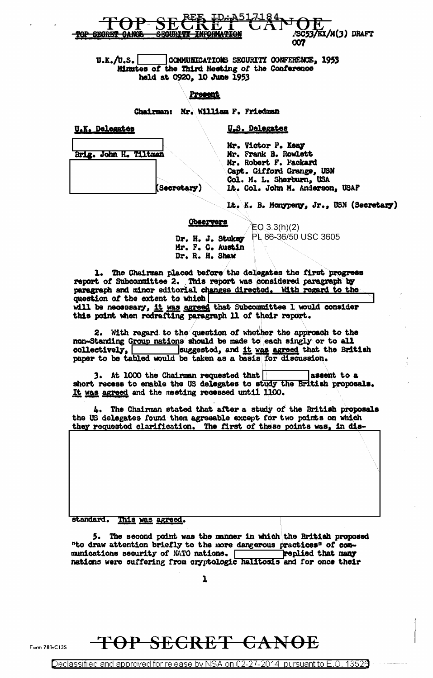

COMMUNICATIONS SECURITY CONFERENCE, 1953  $\mathbf{U}.\mathbf{K}.\mathbf{/} \mathbf{U}.\mathbf{S}$ . Minutes of the Third Meeting of the Conference held at 0920, 10 June 1953

#### Present

Chairman: Mr. William F. Friedman

U.K. Delegates

U.S. Delegates

Brig. John H. Tiltman Secretary)

Mr. Victor P. Keay Mr. Frank B. Rowlett Mr. Robert F. Packard Capt. Gifford Grange, USN Col. M. L. Sherburn, USA Lt. Col. John M. Anderson, USAF

It. K. B. Monypeny, Jr., USN (Secretary)

### Observers

 $EO(3.3(h)(2)$ PL 86-36/50 USC 3605 Dr. H. J. Stukey Mr. F. C. Austin Dr. R. H. Shaw

1. The Chairman placed before the delegates the first progress report of Subcommittee 2. This report was considered paragraph by paragraph and minor editorial changes directed. With regard to the question of the extent to which will be necessary, it was agreed that Subcommittee 1 would consider this point when redrafting paragraph 11 of their report.

2. With regard to the question of whether the approach to the non-Standing Group nations should be made to each singly or to all collectively, [ suggested, and it was agreed that the British paper to be tabled would be taken as a basis for discussion.

3. At 1000 the Chairman requested that assent to a short recess to enable the US delegates to study the British proposals. It was agreed and the meeting recessed until 1100.

4. The Chairman stated that after a study of the British proposals the US delegates found them agreeable except for two points on which they requested clarification. The first of these points was, in dis-

standard. This was agreed.

5. The second point was the manner in which the British proposed "to draw attention briefly to the more dangerous practices" of communications security of NATO nations. replied that many nations were suffering from cryptologic halitosis and for once their

1

### TOP SECRET CANOE

Declassified and approved for release by NSA on 02-27-2014 pursuant to E.O. 13526